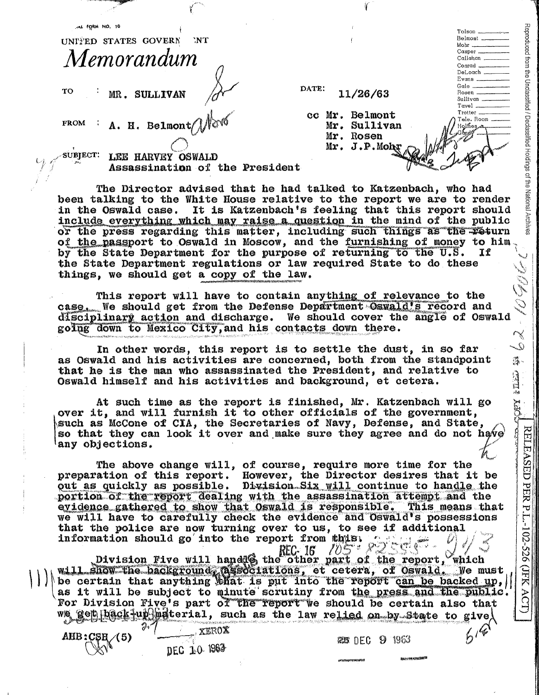i UNI'I'ED STATES GOVERN NT *Memorandum* 

AL FORM NO. 10

TO MR. SULLIVAN

**FROM**   $\tt A.$  H. Belmont $\ell'$  DATE: 11/26/63

cc Mr. Belmont Mr. Sullivan Mr. Rosen Mr. J.P.Mo

1(

 $\begin{minipage}{.4\linewidth} \label{eq:1} \begin{minipage}{.4\linewidth} \textbf{Tolson} \end{minipage} \begin{minipage}{.4\linewidth} \begin{minipage}{.4\linewidth} \begin{minipage}{.4\linewidth} \end{minipage} \begin{minipage}{.4\linewidth} \begin{minipage}{.4\linewidth} \end{minipage} \begin{minipage}{.4\linewidth} \end{minipage} \begin{minipage}{.4\linewidth} \begin{minipage}{.4\linewidth} \end{minipage} \begin{minipage}{.4\linewidth} \end{minipage} \begin{minipage}{.4\linewidth} \begin{minipage}{.4\linewidth} \end{minipage}$ Belmont \_\_ Tolson<br>Belmont<br>Mohr<br>Casper Casper \_\_

DeLoach \_\_

Rosen \_\_ \_ Sullivan \_\_ Tave) \_\_ \_

Reproduced from the Unclassified / Declassified Holdings of the National

**POPY LELEN** 

原料

**RELEASED** 

PER P.L.-102-526 (JFK

KCT)

Mohr<br>Casper<br>Callahan Conrad

DeLoach<br>Evans<br>Gale Evans<br>Gale<br>Rosen

Tele, Room Holmes

 $\sim$  subject: LEE HARVEY OSWALD Assassination of the President

The Director advised that be bad talked to Katzenbach, who had been talking to the White House relative to the report we are to render in the Oswald case. It is Katzenbach's feeling that this report should include everything which may raise a question in the mind of the public or the press regarding this matter, including such things as the return of the passport to Oswald in Moscow, and the furnishing of money to him by the State Department for the purpose of returning to the U.S. **If** the State Department regulations or law required State to do these **NOGUL** things, we should get a copy of the law.

This report will have to contain anything of relevance to the case. We should get from the Defense Department Oswald's record and disciplinary action and discharge. We should cover the angle of Oswald going down to Mexico City, and his contacts down there.  $\widetilde{\mathcal{S}}$ 

In other words, this report is to settle the dust, in so far<br>as Oswald and his activities are concerned, both from the standpoint that he is the man who assassinated the President, and relative to Oswald himself and his activities and background, et cetera.

At such time as the report is finished, Mr. Katzenbach will go over it, and will furnish it to other officials of the government, such as McCone of CIA, the Secretaries of Navy, Defense, and State, so that they can look it over and make sure they agree and do not have any objections.

The above change will, of course, require more time for the preparation of this report. However, the Director desires that it be out as quickly as possible. Division Six will continue to handle the portion of the report dealing with the assassination attempt and the evidence gathered to show that Oswald is responsible. This means that we will have to carefully check the evidence and Oswald's possessions that the police are now turning over to us, to see if additional information should go into the report from thus.

**TOST PRESSER** Division Five will hand  $\frac{REC}{D}$  if  $\frac{10}{5}$  of  $\frac{10}{10}$  . which will show the background gesociations, et cetera, of Oswald. We must be certain that anything that is put into the report can be backed up, as it will be subject to minute scrutiny from the press and the public. For Division Five's part of the report we should be certain also that get back-up material, such as the law relied on by State to give  $616$ 

XEROX DEC 10 1963

АНВ:С\$<sub>H</sub> (5)

**25 DEC 9 1963**